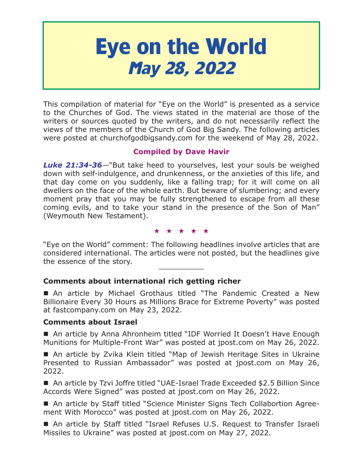# **Eye on the World May 28, 2022**

This compilation of material for "Eye on the World" is presented as a service to the Churches of God. The views stated in the material are those of the writers or sources quoted by the writers, and do not necessarily reflect the views of the members of the Church of God Big Sandy. The following articles were posted at churchofgodbigsandy.com for the weekend of May 28, 2022.

# **Compiled by Dave Havir**

*Luke 21:34-36*—"But take heed to yourselves, lest your souls be weighed down with self-indulgence, and drunkenness, or the anxieties of this life, and that day come on you suddenly, like a falling trap; for it will come on all dwellers on the face of the whole earth. But beware of slumbering; and every moment pray that you may be fully strengthened to escape from all these coming evils, and to take your stand in the presence of the Son of Man" (Weymouth New Testament).

#### ★★★★★

"Eye on the World" comment: The following headlines involve articles that are considered international. The articles were not posted, but the headlines give the essence of the story.

# **Comments about international rich getting richer**

 An article by Michael Grothaus titled "The Pandemic Created a New Billionaire Every 30 Hours as Millions Brace for Extreme Poverty" was posted at fastcompany.com on May 23, 2022.

# **Comments about Israel**

■ An article by Anna Ahronheim titled "IDF Worried It Doesn't Have Enough Munitions for Multiple-Front War" was posted at jpost.com on May 26, 2022.

■ An article by Zvika Klein titled "Map of Jewish Heritage Sites in Ukraine Presented to Russian Ambassador" was posted at jpost.com on May 26, 2022.

■ An article by Tzvi Joffre titled "UAE-Israel Trade Exceeded \$2.5 Billion Since Accords Were Signed" was posted at jpost.com on May 26, 2022.

■ An article by Staff titled "Science Minister Signs Tech Collabortion Agreement With Morocco" was posted at jpost.com on May 26, 2022.

■ An article by Staff titled "Israel Refuses U.S. Request to Transfer Israeli Missiles to Ukraine" was posted at jpost.com on May 27, 2022.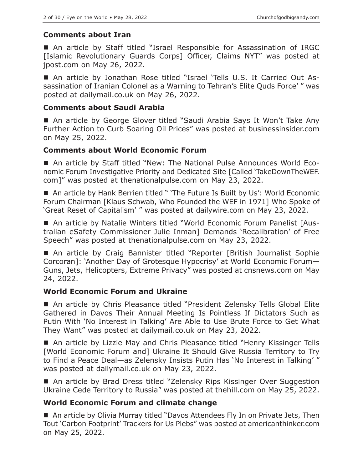## **Comments about Iran**

■ An article by Staff titled "Israel Responsible for Assassination of IRGC [Islamic Revolutionary Guards Corps] Officer, Claims NYT" was posted at jpost.com on May 26, 2022.

 An article by Jonathan Rose titled "Israel 'Tells U.S. It Carried Out Assassination of Iranian Colonel as a Warning to Tehran's Elite Quds Force' " was posted at dailymail.co.uk on May 26, 2022.

## **Comments about Saudi Arabia**

■ An article by George Glover titled "Saudi Arabia Says It Won't Take Any Further Action to Curb Soaring Oil Prices" was posted at businessinsider.com on May 25, 2022.

# **Comments about World Economic Forum**

 An article by Staff titled "New: The National Pulse Announces World Economic Forum Investigative Priority and Dedicated Site [Called 'TakeDownTheWEF. com]" was posted at thenationalpulse.com on May 23, 2022.

■ An article by Hank Berrien titled " 'The Future Is Built by Us': World Economic Forum Chairman [Klaus Schwab, Who Founded the WEF in 1971] Who Spoke of 'Great Reset of Capitalism' " was posted at dailywire.com on May 23, 2022.

■ An article by Natalie Winters titled "World Economic Forum Panelist [Australian eSafety Commissioner Julie Inman] Demands 'Recalibration' of Free Speech" was posted at thenationalpulse.com on May 23, 2022.

■ An article by Craig Bannister titled "Reporter [British Journalist Sophie Corcoran]: 'Another Day of Grotesque Hypocrisy' at World Economic Forum— Guns, Jets, Helicopters, Extreme Privacy" was posted at cnsnews.com on May 24, 2022.

## **World Economic Forum and Ukraine**

■ An article by Chris Pleasance titled "President Zelensky Tells Global Elite Gathered in Davos Their Annual Meeting Is Pointless If Dictators Such as Putin With 'No Interest in Talking' Are Able to Use Brute Force to Get What They Want" was posted at dailymail.co.uk on May 23, 2022.

■ An article by Lizzie May and Chris Pleasance titled "Henry Kissinger Tells [World Economic Forum and] Ukraine It Should Give Russia Territory to Try to Find a Peace Deal—as Zelensky Insists Putin Has 'No Interest in Talking' " was posted at dailymail.co.uk on May 23, 2022.

■ An article by Brad Dress titled "Zelensky Rips Kissinger Over Suggestion Ukraine Cede Territory to Russia" was posted at thehill.com on May 25, 2022.

# **World Economic Forum and climate change**

■ An article by Olivia Murray titled "Davos Attendees Fly In on Private Jets, Then Tout 'Carbon Footprint' Trackers for Us Plebs" was posted at americanthinker.com on May 25, 2022.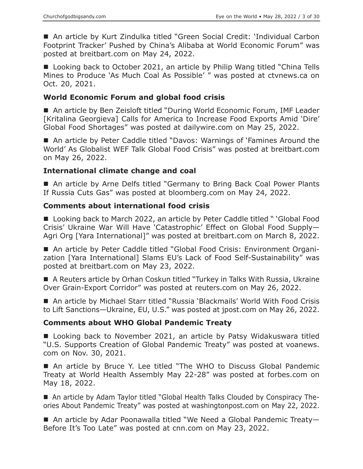■ An article by Kurt Zindulka titled "Green Social Credit: 'Individual Carbon Footprint Tracker' Pushed by China's Alibaba at World Economic Forum" was posted at breitbart.com on May 24, 2022.

■ Looking back to October 2021, an article by Philip Wang titled "China Tells Mines to Produce 'As Much Coal As Possible' " was posted at ctvnews.ca on Oct. 20, 2021.

#### **World Economic Forum and global food crisis**

■ An article by Ben Zeisloft titled "During World Economic Forum, IMF Leader [Kritalina Georgieva] Calls for America to Increase Food Exports Amid 'Dire' Global Food Shortages" was posted at dailywire.com on May 25, 2022.

■ An article by Peter Caddle titled "Davos: Warnings of 'Famines Around the World' As Globalist WEF Talk Global Food Crisis" was posted at breitbart.com on May 26, 2022.

#### **International climate change and coal**

■ An article by Arne Delfs titled "Germany to Bring Back Coal Power Plants If Russia Cuts Gas" was posted at bloomberg.com on May 24, 2022.

#### **Comments about international food crisis**

■ Looking back to March 2022, an article by Peter Caddle titled " 'Global Food Crisis' Ukraine War Will Have 'Catastrophic' Effect on Global Food Supply— Agri Org [Yara International]" was posted at breitbart.com on March 8, 2022.

■ An article by Peter Caddle titled "Global Food Crisis: Environment Organization [Yara International] Slams EU's Lack of Food Self-Sustainability" was posted at breitbart.com on May 23, 2022.

 A Reuters article by Orhan Coskun titled "Turkey in Talks With Russia, Ukraine Over Grain-Export Corridor" was posted at reuters.com on May 26, 2022.

■ An article by Michael Starr titled "Russia 'Blackmails' World With Food Crisis to Lift Sanctions—Ukraine, EU, U.S." was posted at jpost.com on May 26, 2022.

## **Comments about WHO Global Pandemic Treaty**

■ Looking back to November 2021, an article by Patsy Widakuswara titled "U.S. Supports Creation of Global Pandemic Treaty" was posted at voanews. com on Nov. 30, 2021.

 An article by Bruce Y. Lee titled "The WHO to Discuss Global Pandemic Treaty at World Health Assembly May 22-28" was posted at forbes.com on May 18, 2022.

 An article by Adam Taylor titled "Global Health Talks Clouded by Conspiracy Theories About Pandemic Treaty" was posted at washingtonpost.com on May 22, 2022.

■ An article by Adar Poonawalla titled "We Need a Global Pandemic Treaty-Before It's Too Late" was posted at cnn.com on May 23, 2022.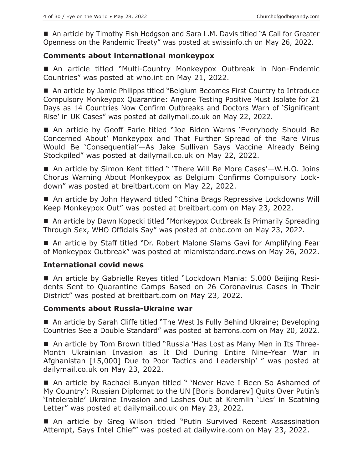■ An article by Timothy Fish Hodgson and Sara L.M. Davis titled "A Call for Greater Openness on the Pandemic Treaty" was posted at swissinfo.ch on May 26, 2022.

## **Comments about international monkeypox**

 An article titled "Multi-Country Monkeypox Outbreak in Non-Endemic Countries" was posted at who.int on May 21, 2022.

■ An article by Jamie Philipps titled "Belgium Becomes First Country to Introduce Compulsory Monkeypox Quarantine: Anyone Testing Positive Must Isolate for 21 Days as 14 Countries Now Confirm Outbreaks and Doctors Warn of 'Significant Rise' in UK Cases" was posted at dailymail.co.uk on May 22, 2022.

 An article by Geoff Earle titled "Joe Biden Warns 'Everybody Should Be Concerned About' Monkeypox and That Further Spread of the Rare Virus Would Be 'Consequential'—As Jake Sullivan Says Vaccine Already Being Stockpiled" was posted at dailymail.co.uk on May 22, 2022.

■ An article by Simon Kent titled " 'There Will Be More Cases'—W.H.O. Joins Chorus Warning About Monkeypox as Belgium Confirms Compulsory Lockdown" was posted at breitbart.com on May 22, 2022.

■ An article by John Hayward titled "China Brags Repressive Lockdowns Will Keep Monkeypox Out" was posted at breitbart.com on May 23, 2022.

■ An article by Dawn Kopecki titled "Monkeypox Outbreak Is Primarily Spreading Through Sex, WHO Officials Say" was posted at cnbc.com on May 23, 2022.

 An article by Staff titled "Dr. Robert Malone Slams Gavi for Amplifying Fear of Monkeypox Outbreak" was posted at miamistandard.news on May 26, 2022.

## **International covid news**

 An article by Gabrielle Reyes titled "Lockdown Mania: 5,000 Beijing Residents Sent to Quarantine Camps Based on 26 Coronavirus Cases in Their District" was posted at breitbart.com on May 23, 2022.

#### **Comments about Russia-Ukraine war**

■ An article by Sarah Cliffe titled "The West Is Fully Behind Ukraine; Developing Countries See a Double Standard" was posted at barrons.com on May 20, 2022.

■ An article by Tom Brown titled "Russia 'Has Lost as Many Men in Its Three-Month Ukrainian Invasion as It Did During Entire Nine-Year War in Afghanistan [15,000] Due to Poor Tactics and Leadership' " was posted at dailymail.co.uk on May 23, 2022.

■ An article by Rachael Bunyan titled " 'Never Have I Been So Ashamed of My Country': Russian Diplomat to the UN [Boris Bondarev] Quits Over Putin's 'Intolerable' Ukraine Invasion and Lashes Out at Kremlin 'Lies' in Scathing Letter" was posted at dailymail.co.uk on May 23, 2022.

■ An article by Greg Wilson titled "Putin Survived Recent Assassination Attempt, Says Intel Chief" was posted at dailywire.com on May 23, 2022.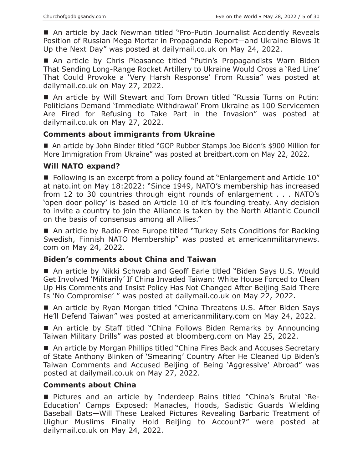■ An article by Jack Newman titled "Pro-Putin Journalist Accidently Reveals Position of Russian Mega Mortar in Propaganda Report—and Ukraine Blows It Up the Next Day" was posted at dailymail.co.uk on May 24, 2022.

■ An article by Chris Pleasance titled "Putin's Propagandists Warn Biden That Sending Long-Range Rocket Artillery to Ukraine Would Cross a 'Red Line' That Could Provoke a 'Very Harsh Response' From Russia" was posted at dailymail.co.uk on May 27, 2022.

■ An article by Will Stewart and Tom Brown titled "Russia Turns on Putin: Politicians Demand 'Immediate Withdrawal' From Ukraine as 100 Servicemen Are Fired for Refusing to Take Part in the Invasion" was posted at dailymail.co.uk on May 27, 2022.

## **Comments about immigrants from Ukraine**

 An article by John Binder titled "GOP Rubber Stamps Joe Biden's \$900 Million for More Immigration From Ukraine" was posted at breitbart.com on May 22, 2022.

#### **Will NATO expand?**

■ Following is an excerpt from a policy found at "Enlargement and Article 10" at nato.int on May 18:2022: "Since 1949, NATO's membership has increased from 12 to 30 countries through eight rounds of enlargement . . . NATO's 'open door policy' is based on Article 10 of it's founding treaty. Any decision to invite a country to join the Alliance is taken by the North Atlantic Council on the basis of consensus among all Allies."

■ An article by Radio Free Europe titled "Turkey Sets Conditions for Backing Swedish, Finnish NATO Membership" was posted at americanmilitarynews. com on May 24, 2022.

## **Biden's comments about China and Taiwan**

■ An article by Nikki Schwab and Geoff Earle titled "Biden Says U.S. Would Get Involved 'Militarily' If China Invaded Taiwan: White House Forced to Clean Up His Comments and Insist Policy Has Not Changed After Beijing Said There Is 'No Compromise' " was posted at dailymail.co.uk on May 22, 2022.

■ An article by Ryan Morgan titled "China Threatens U.S. After Biden Says He'll Defend Taiwan" was posted at americanmilitary.com on May 24, 2022.

■ An article by Staff titled "China Follows Biden Remarks by Announcing Taiwan Military Drills" was posted at bloomberg.com on May 25, 2022.

■ An article by Morgan Phillips titled "China Fires Back and Accuses Secretary of State Anthony Blinken of 'Smearing' Country After He Cleaned Up Biden's Taiwan Comments and Accused Beijing of Being 'Aggressive' Abroad" was posted at dailymail.co.uk on May 27, 2022.

## **Comments about China**

 Pictures and an article by Inderdeep Bains titled "China's Brutal 'Re-Education' Camps Exposed: Manacles, Hoods, Sadistic Guards Wielding Baseball Bats—Will These Leaked Pictures Revealing Barbaric Treatment of Uighur Muslims Finally Hold Beijing to Account?" were posted at dailymail.co.uk on May 24, 2022.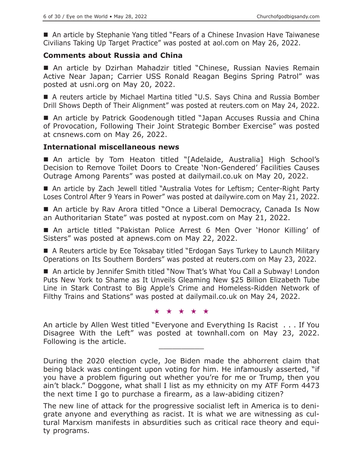■ An article by Stephanie Yang titled "Fears of a Chinese Invasion Have Taiwanese Civilians Taking Up Target Practice" was posted at aol.com on May 26, 2022.

## **Comments about Russia and China**

■ An article by Dzirhan Mahadzir titled "Chinese, Russian Navies Remain Active Near Japan; Carrier USS Ronald Reagan Begins Spring Patrol" was posted at usni.org on May 20, 2022.

■ A reuters article by Michael Martina titled "U.S. Says China and Russia Bomber Drill Shows Depth of Their Alignment" was posted at reuters.com on May 24, 2022.

■ An article by Patrick Goodenough titled "Japan Accuses Russia and China of Provocation, Following Their Joint Strategic Bomber Exercise" was posted at cnsnews.com on May 26, 2022.

#### **International miscellaneous news**

 An article by Tom Heaton titled "[Adelaide, Australia] High School's Decision to Remove Toilet Doors to Create 'Non-Gendered' Facilities Causes Outrage Among Parents" was posted at dailymail.co.uk on May 20, 2022.

 An article by Zach Jewell titled "Australia Votes for Leftism; Center-Right Party Loses Control After 9 Years in Power" was posted at dailywire.com on May 21, 2022.

■ An article by Rav Arora titled "Once a Liberal Democracy, Canada Is Now an Authoritarian State" was posted at nypost.com on May 21, 2022.

 An article titled "Pakistan Police Arrest 6 Men Over 'Honor Killing' of Sisters" was posted at apnews.com on May 22, 2022.

■ A Reuters article by Ece Toksabay titled "Erdogan Says Turkey to Launch Military Operations on Its Southern Borders" was posted at reuters.com on May 23, 2022.

■ An article by Jennifer Smith titled "Now That's What You Call a Subway! London Puts New York to Shame as It Unveils Gleaming New \$25 Billion Elizabeth Tube Line in Stark Contrast to Big Apple's Crime and Homeless-Ridden Network of Filthy Trains and Stations" was posted at dailymail.co.uk on May 24, 2022.

★★★★★

An article by Allen West titled "Everyone and Everything Is Racist . . . If You Disagree With the Left" was posted at townhall.com on May 23, 2022. Following is the article.

During the 2020 election cycle, Joe Biden made the abhorrent claim that being black was contingent upon voting for him. He infamously asserted, "if you have a problem figuring out whether you're for me or Trump, then you ain't black." Doggone, what shall I list as my ethnicity on my ATF Form 4473 the next time I go to purchase a firearm, as a law-abiding citizen?

The new line of attack for the progressive socialist left in America is to denigrate anyone and everything as racist. It is what we are witnessing as cultural Marxism manifests in absurdities such as critical race theory and equity programs.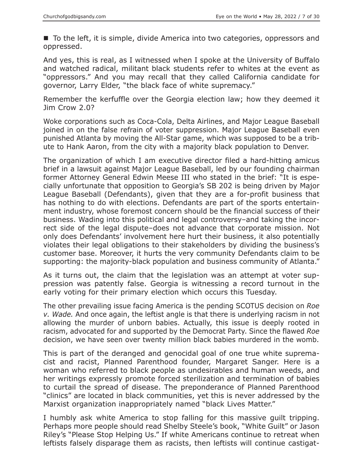To the left, it is simple, divide America into two categories, oppressors and oppressed.

And yes, this is real, as I witnessed when I spoke at the University of Buffalo and watched radical, militant black students refer to whites at the event as "oppressors." And you may recall that they called California candidate for governor, Larry Elder, "the black face of white supremacy."

Remember the kerfuffle over the Georgia election law; how they deemed it Jim Crow 2.0?

Woke corporations such as Coca-Cola, Delta Airlines, and Major League Baseball joined in on the false refrain of voter suppression. Major League Baseball even punished Atlanta by moving the All-Star game, which was supposed to be a tribute to Hank Aaron, from the city with a majority black population to Denver.

The organization of which I am executive director filed a hard-hitting amicus brief in a lawsuit against Major League Baseball, led by our founding chairman former Attorney General Edwin Meese III who stated in the brief: "It is especially unfortunate that opposition to Georgia's SB 202 is being driven by Major League Baseball (Defendants), given that they are a for-profit business that has nothing to do with elections. Defendants are part of the sports entertainment industry, whose foremost concern should be the financial success of their business. Wading into this political and legal controversy–and taking the incorrect side of the legal dispute–does not advance that corporate mission. Not only does Defendants' involvement here hurt their business, it also potentially violates their legal obligations to their stakeholders by dividing the business's customer base. Moreover, it hurts the very community Defendants claim to be supporting: the majority-black population and business community of Atlanta."

As it turns out, the claim that the legislation was an attempt at voter suppression was patently false. Georgia is witnessing a record turnout in the early voting for their primary election which occurs this Tuesday.

The other prevailing issue facing America is the pending SCOTUS decision on *Roe v. Wade.* And once again, the leftist angle is that there is underlying racism in not allowing the murder of unborn babies. Actually, this issue is deeply rooted in racism, advocated for and supported by the Democrat Party. Since the flawed *Roe* decision, we have seen over twenty million black babies murdered in the womb.

This is part of the deranged and genocidal goal of one true white supremacist and racist, Planned Parenthood founder, Margaret Sanger. Here is a woman who referred to black people as undesirables and human weeds, and her writings expressly promote forced sterilization and termination of babies to curtail the spread of disease. The preponderance of Planned Parenthood "clinics" are located in black communities, yet this is never addressed by the Marxist organization inappropriately named "black Lives Matter."

I humbly ask white America to stop falling for this massive guilt tripping. Perhaps more people should read Shelby Steele's book, "White Guilt" or Jason Riley's "Please Stop Helping Us." If white Americans continue to retreat when leftists falsely disparage them as racists, then leftists will continue castigat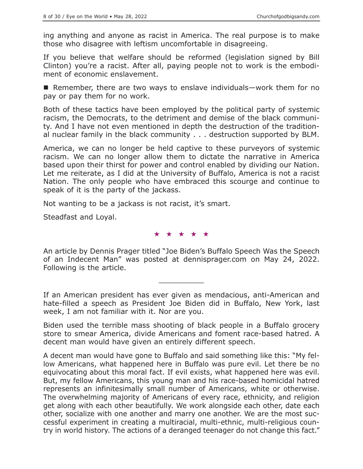ing anything and anyone as racist in America. The real purpose is to make those who disagree with leftism uncomfortable in disagreeing.

If you believe that welfare should be reformed (legislation signed by Bill Clinton) you're a racist. After all, paying people not to work is the embodiment of economic enslavement.

■ Remember, there are two ways to enslave individuals—work them for no pay or pay them for no work.

Both of these tactics have been employed by the political party of systemic racism, the Democrats, to the detriment and demise of the black community. And I have not even mentioned in depth the destruction of the traditional nuclear family in the black community . . . destruction supported by BLM.

America, we can no longer be held captive to these purveyors of systemic racism. We can no longer allow them to dictate the narrative in America based upon their thirst for power and control enabled by dividing our Nation. Let me reiterate, as I did at the University of Buffalo, America is not a racist Nation. The only people who have embraced this scourge and continue to speak of it is the party of the jackass.

Not wanting to be a jackass is not racist, it's smart.

Steadfast and Loyal.

★★★★★

An article by Dennis Prager titled "Joe Biden's Buffalo Speech Was the Speech of an Indecent Man" was posted at dennisprager.com on May 24, 2022. Following is the article.

 $\overline{\phantom{a}}$  , where  $\overline{\phantom{a}}$ 

If an American president has ever given as mendacious, anti-American and hate-filled a speech as President Joe Biden did in Buffalo, New York, last week, I am not familiar with it. Nor are you.

Biden used the terrible mass shooting of black people in a Buffalo grocery store to smear America, divide Americans and foment race-based hatred. A decent man would have given an entirely different speech.

A decent man would have gone to Buffalo and said something like this: "My fellow Americans, what happened here in Buffalo was pure evil. Let there be no equivocating about this moral fact. If evil exists, what happened here was evil. But, my fellow Americans, this young man and his race-based homicidal hatred represents an infinitesimally small number of Americans, white or otherwise. The overwhelming majority of Americans of every race, ethnicity, and religion get along with each other beautifully. We work alongside each other, date each other, socialize with one another and marry one another. We are the most successful experiment in creating a multiracial, multi-ethnic, multi-religious country in world history. The actions of a deranged teenager do not change this fact."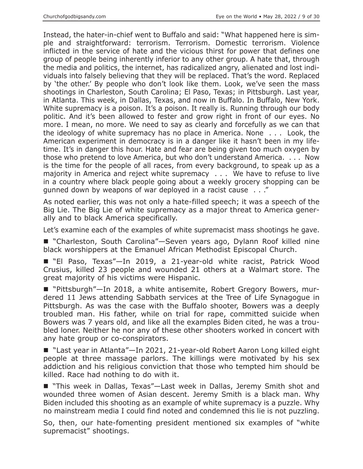Instead, the hater-in-chief went to Buffalo and said: "What happened here is simple and straightforward: terrorism. Terrorism. Domestic terrorism. Violence inflicted in the service of hate and the vicious thirst for power that defines one group of people being inherently inferior to any other group. A hate that, through the media and politics, the internet, has radicalized angry, alienated and lost individuals into falsely believing that they will be replaced. That's the word. Replaced by 'the other.' By people who don't look like them. Look, we've seen the mass shootings in Charleston, South Carolina; El Paso, Texas; in Pittsburgh. Last year, in Atlanta. This week, in Dallas, Texas, and now in Buffalo. In Buffalo, New York. White supremacy is a poison. It's a poison. It really is. Running through our body politic. And it's been allowed to fester and grow right in front of our eyes. No more. I mean, no more. We need to say as clearly and forcefully as we can that the ideology of white supremacy has no place in America. None . . . Look, the American experiment in democracy is in a danger like it hasn't been in my lifetime. It's in danger this hour. Hate and fear are being given too much oxygen by those who pretend to love America, but who don't understand America. . . . Now is the time for the people of all races, from every background, to speak up as a majority in America and reject white supremacy . . . We have to refuse to live in a country where black people going about a weekly grocery shopping can be gunned down by weapons of war deployed in a racist cause . . ."

As noted earlier, this was not only a hate-filled speech; it was a speech of the Big Lie. The Big Lie of white supremacy as a major threat to America generally and to black America specifically.

Let's examine each of the examples of white supremacist mass shootings he gave.

■ "Charleston, South Carolina"—Seven years ago, Dylann Roof killed nine black worshippers at the Emanuel African Methodist Episcopal Church.

 "El Paso, Texas"—In 2019, a 21-year-old white racist, Patrick Wood Crusius, killed 23 people and wounded 21 others at a Walmart store. The great majority of his victims were Hispanic.

■ "Pittsburgh"—In 2018, a white antisemite, Robert Gregory Bowers, murdered 11 Jews attending Sabbath services at the Tree of Life Synagogue in Pittsburgh. As was the case with the Buffalo shooter, Bowers was a deeply troubled man. His father, while on trial for rape, committed suicide when Bowers was 7 years old, and like all the examples Biden cited, he was a troubled loner. Neither he nor any of these other shooters worked in concert with any hate group or co-conspirators.

■ "Last year in Atlanta"—In 2021, 21-year-old Robert Aaron Long killed eight people at three massage parlors. The killings were motivated by his sex addiction and his religious conviction that those who tempted him should be killed. Race had nothing to do with it.

■ "This week in Dallas, Texas"—Last week in Dallas, Jeremy Smith shot and wounded three women of Asian descent. Jeremy Smith is a black man. Why Biden included this shooting as an example of white supremacy is a puzzle. Why no mainstream media I could find noted and condemned this lie is not puzzling.

So, then, our hate-fomenting president mentioned six examples of "white supremacist" shootings.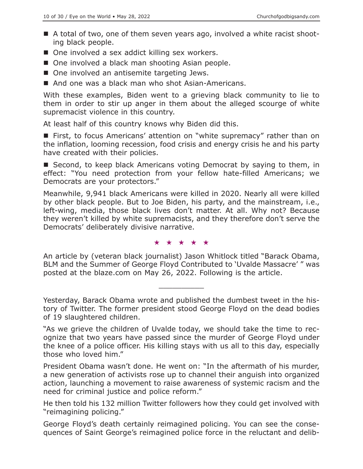- A total of two, one of them seven years ago, involved a white racist shooting black people.
- One involved a sex addict killing sex workers.
- One involved a black man shooting Asian people.
- One involved an antisemite targeting Jews.
- And one was a black man who shot Asian-Americans.

With these examples, Biden went to a grieving black community to lie to them in order to stir up anger in them about the alleged scourge of white supremacist violence in this country.

At least half of this country knows why Biden did this.

■ First, to focus Americans' attention on "white supremacy" rather than on the inflation, looming recession, food crisis and energy crisis he and his party have created with their policies.

■ Second, to keep black Americans voting Democrat by saying to them, in effect: "You need protection from your fellow hate-filled Americans; we Democrats are your protectors."

Meanwhile, 9,941 black Americans were killed in 2020. Nearly all were killed by other black people. But to Joe Biden, his party, and the mainstream, i.e., left-wing, media, those black lives don't matter. At all. Why not? Because they weren't killed by white supremacists, and they therefore don't serve the Democrats' deliberately divisive narrative.

#### ★★★★★

An article by (veteran black journalist) Jason Whitlock titled "Barack Obama, BLM and the Summer of George Floyd Contributed to 'Uvalde Massacre' " was posted at the blaze.com on May 26, 2022. Following is the article.

 $\overline{\phantom{a}}$  , where  $\overline{\phantom{a}}$ 

Yesterday, Barack Obama wrote and published the dumbest tweet in the history of Twitter. The former president stood George Floyd on the dead bodies of 19 slaughtered children.

President Obama wasn't done. He went on: "In the aftermath of his murder, a new generation of activists rose up to channel their anguish into organized action, launching a movement to raise awareness of systemic racism and the need for criminal justice and police reform."

He then told his 132 million Twitter followers how they could get involved with "reimagining policing."

George Floyd's death certainly reimagined policing. You can see the consequences of Saint George's reimagined police force in the reluctant and delib-

<sup>&</sup>quot;As we grieve the children of Uvalde today, we should take the time to recognize that two years have passed since the murder of George Floyd under the knee of a police officer. His killing stays with us all to this day, especially those who loved him."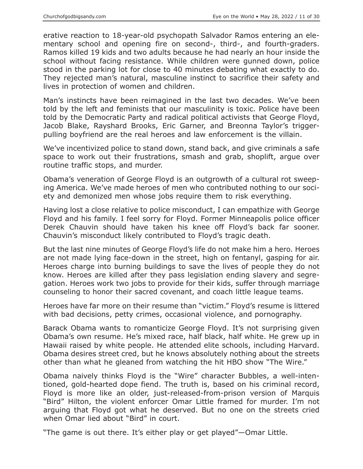erative reaction to 18-year-old psychopath Salvador Ramos entering an elementary school and opening fire on second-, third-, and fourth-graders. Ramos killed 19 kids and two adults because he had nearly an hour inside the school without facing resistance. While children were gunned down, police stood in the parking lot for close to 40 minutes debating what exactly to do. They rejected man's natural, masculine instinct to sacrifice their safety and lives in protection of women and children.

Man's instincts have been reimagined in the last two decades. We've been told by the left and feminists that our masculinity is toxic. Police have been told by the Democratic Party and radical political activists that George Floyd, Jacob Blake, Rayshard Brooks, Eric Garner, and Breonna Taylor's triggerpulling boyfriend are the real heroes and law enforcement is the villain.

We've incentivized police to stand down, stand back, and give criminals a safe space to work out their frustrations, smash and grab, shoplift, argue over routine traffic stops, and murder.

Obama's veneration of George Floyd is an outgrowth of a cultural rot sweeping America. We've made heroes of men who contributed nothing to our society and demonized men whose jobs require them to risk everything.

Having lost a close relative to police misconduct, I can empathize with George Floyd and his family. I feel sorry for Floyd. Former Minneapolis police officer Derek Chauvin should have taken his knee off Floyd's back far sooner. Chauvin's misconduct likely contributed to Floyd's tragic death.

But the last nine minutes of George Floyd's life do not make him a hero. Heroes are not made lying face-down in the street, high on fentanyl, gasping for air. Heroes charge into burning buildings to save the lives of people they do not know. Heroes are killed after they pass legislation ending slavery and segregation. Heroes work two jobs to provide for their kids, suffer through marriage counseling to honor their sacred covenant, and coach little league teams.

Heroes have far more on their resume than "victim." Floyd's resume is littered with bad decisions, petty crimes, occasional violence, and pornography.

Barack Obama wants to romanticize George Floyd. It's not surprising given Obama's own resume. He's mixed race, half black, half white. He grew up in Hawaii raised by white people. He attended elite schools, including Harvard. Obama desires street cred, but he knows absolutely nothing about the streets other than what he gleaned from watching the hit HBO show "The Wire."

Obama naively thinks Floyd is the "Wire" character Bubbles, a well-intentioned, gold-hearted dope fiend. The truth is, based on his criminal record, Floyd is more like an older, just-released-from-prison version of Marquis "Bird" Hilton, the violent enforcer Omar Little framed for murder. I'm not arguing that Floyd got what he deserved. But no one on the streets cried when Omar lied about "Bird" in court.

"The game is out there. It's either play or get played"—Omar Little.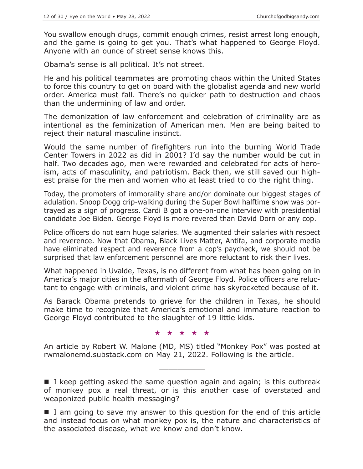You swallow enough drugs, commit enough crimes, resist arrest long enough, and the game is going to get you. That's what happened to George Floyd. Anyone with an ounce of street sense knows this.

Obama's sense is all political. It's not street.

He and his political teammates are promoting chaos within the United States to force this country to get on board with the globalist agenda and new world order. America must fall. There's no quicker path to destruction and chaos than the undermining of law and order.

The demonization of law enforcement and celebration of criminality are as intentional as the feminization of American men. Men are being baited to reject their natural masculine instinct.

Would the same number of firefighters run into the burning World Trade Center Towers in 2022 as did in 2001? I'd say the number would be cut in half. Two decades ago, men were rewarded and celebrated for acts of heroism, acts of masculinity, and patriotism. Back then, we still saved our highest praise for the men and women who at least tried to do the right thing.

Today, the promoters of immorality share and/or dominate our biggest stages of adulation. Snoop Dogg crip-walking during the Super Bowl halftime show was portrayed as a sign of progress. Cardi B got a one-on-one interview with presidential candidate Joe Biden. George Floyd is more revered than David Dorn or any cop.

Police officers do not earn huge salaries. We augmented their salaries with respect and reverence. Now that Obama, Black Lives Matter, Antifa, and corporate media have eliminated respect and reverence from a cop's paycheck, we should not be surprised that law enforcement personnel are more reluctant to risk their lives.

What happened in Uvalde, Texas, is no different from what has been going on in America's major cities in the aftermath of George Floyd. Police officers are reluctant to engage with criminals, and violent crime has skyrocketed because of it.

As Barack Obama pretends to grieve for the children in Texas, he should make time to recognize that America's emotional and immature reaction to George Floyd contributed to the slaughter of 19 little kids.

#### ★★★★★

An article by Robert W. Malone (MD, MS) titled "Monkey Pox" was posted at rwmalonemd.substack.com on May 21, 2022. Following is the article.

 $\overline{\phantom{a}}$  , where  $\overline{\phantom{a}}$ 

I keep getting asked the same question again and again; is this outbreak of monkey pox a real threat, or is this another case of overstated and weaponized public health messaging?

 $\blacksquare$  I am going to save my answer to this question for the end of this article and instead focus on what monkey pox is, the nature and characteristics of the associated disease, what we know and don't know.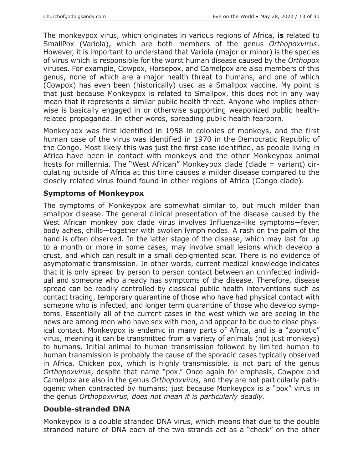The monkeypox virus, which originates in various regions of Africa, **is** related to SmallPox (Variola), which are both members of the genus *Orthopoxvirus*. However, it is important to understand that Variola (major or minor) is the species of virus which is responsible for the worst human disease caused by the *Orthopox* viruses. For example, Cowpox, Horsepox, and Camelpox are also members of this genus, none of which are a major health threat to humans, and one of which (Cowpox) has even been (historically) used as a Smallpox vaccine. My point is that just because Monkeypox is related to Smallpox, this does not in any way mean that it represents a similar public health threat. Anyone who implies otherwise is basically engaged in or otherwise supporting weaponized public healthrelated propaganda. In other words, spreading public health fearporn.

Monkeypox was first identified in 1958 in colonies of monkeys, and the first human case of the virus was identified in 1970 in the Democratic Republic of the Congo. Most likely this was just the first case identified, as people living in Africa have been in contact with monkeys and the other Monkeypox animal hosts for millennia. The "West African" Monkeypox clade (clade = variant) circulating outside of Africa at this time causes a milder disease compared to the closely related virus found found in other regions of Africa (Congo clade).

## **Symptoms of Monkeypox**

The symptoms of Monkeypox are somewhat similar to, but much milder than smallpox disease. The general clinical presentation of the disease caused by the West African monkey pox clade virus involves Influenza-like symptoms—fever, body aches, chills—together with swollen lymph nodes. A rash on the palm of the hand is often observed. In the latter stage of the disease, which may last for up to a month or more in some cases, may involve small lesions which develop a crust, and which can result in a small depigmented scar. There is no evidence of asymptomatic transmission. In other words, current medical knowledge indicates that it is only spread by person to person contact between an uninfected individual and someone who already has symptoms of the disease. Therefore, disease spread can be readily controlled by classical public health interventions such as contact tracing, temporary quarantine of those who have had physical contact with someone who is infected, and longer term quarantine of those who develop symptoms. Essentially all of the current cases in the west which we are seeing in the news are among men who have sex with men, and appear to be due to close physical contact. Monkeypox is endemic in many parts of Africa, and is a "zoonotic" virus, meaning it can be transmitted from a variety of animals (not just monkeys) to humans. Initial animal to human transmission followed by limited human to human transmission is probably the cause of the sporadic cases typically observed in Africa. Chicken pox, which is highly transmissible, is not part of the genus *Orthopoxvirus*, despite that name "pox." Once again for emphasis, Cowpox and Camelpox are also in the genus *Orthopoxvirus,* and they are not particularly pathogenic when contracted by humans; just because Monkeypox is a "pox" virus in the genus *Orthopoxvirus, does not mean it is particularly deadly.*

## **Double-stranded DNA**

Monkeypox is a double stranded DNA virus, which means that due to the double stranded nature of DNA each of the two strands act as a "check" on the other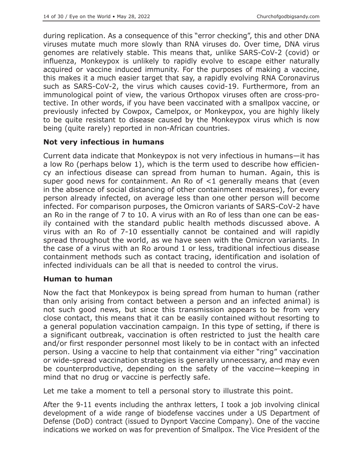during replication. As a consequence of this "error checking", this and other DNA viruses mutate much more slowly than RNA viruses do. Over time, DNA virus genomes are relatively stable. This means that, unlike SARS-CoV-2 (covid) or influenza, Monkeypox is unlikely to rapidly evolve to escape either naturally acquired or vaccine induced immunity. For the purposes of making a vaccine, this makes it a much easier target that say, a rapidly evolving RNA Coronavirus such as SARS-CoV-2, the virus which causes covid-19. Furthermore, from an immunological point of view, the various Orthopox viruses often are cross-protective. In other words, if you have been vaccinated with a smallpox vaccine, or previously infected by Cowpox, Camelpox, or Monkeypox, you are highly likely to be quite resistant to disease caused by the Monkeypox virus which is now being (quite rarely) reported in non-African countries.

# **Not very infectious in humans**

Current data indicate that Monkeypox is not very infectious in humans—it has a low Ro (perhaps below 1), which is the term used to describe how efficiency an infectious disease can spread from human to human. Again, this is super good news for containment. An Ro of <1 generally means that (even in the absence of social distancing of other containment measures), for every person already infected, on average less than one other person will become infected. For comparison purposes, the Omicron variants of SARS-CoV-2 have an Ro in the range of 7 to 10. A virus with an Ro of less than one can be easily contained with the standard public health methods discussed above. A virus with an Ro of 7-10 essentially cannot be contained and will rapidly spread throughout the world, as we have seen with the Omicron variants. In the case of a virus with an Ro around 1 or less, traditional infectious disease containment methods such as contact tracing, identification and isolation of infected individuals can be all that is needed to control the virus.

## **Human to human**

Now the fact that Monkeypox is being spread from human to human (rather than only arising from contact between a person and an infected animal) is not such good news, but since this transmission appears to be from very close contact, this means that it can be easily contained without resorting to a general population vaccination campaign. In this type of setting, if there is a significant outbreak, vaccination is often restricted to just the health care and/or first responder personnel most likely to be in contact with an infected person. Using a vaccine to help that containment via either "ring" vaccination or wide-spread vaccination strategies is generally unnecessary, and may even be counterproductive, depending on the safety of the vaccine—keeping in mind that no drug or vaccine is perfectly safe.

Let me take a moment to tell a personal story to illustrate this point.

After the 9-11 events including the anthrax letters, I took a job involving clinical development of a wide range of biodefense vaccines under a US Department of Defense (DoD) contract (issued to Dynport Vaccine Company). One of the vaccine indications we worked on was for prevention of Smallpox. The Vice President of the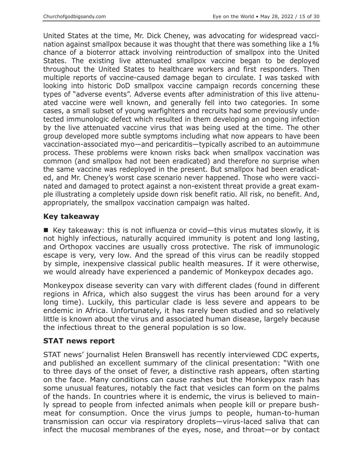United States at the time, Mr. Dick Cheney, was advocating for widespread vaccination against smallpox because it was thought that there was something like a 1% chance of a bioterror attack involving reintroduction of smallpox into the United States. The existing live attenuated smallpox vaccine began to be deployed throughout the United States to healthcare workers and first responders. Then multiple reports of vaccine-caused damage began to circulate. I was tasked with looking into historic DoD smallpox vaccine campaign records concerning these types of "adverse events". Adverse events after administration of this live attenuated vaccine were well known, and generally fell into two categories. In some cases, a small subset of young warfighters and recruits had some previously undetected immunologic defect which resulted in them developing an ongoing infection by the live attenuated vaccine virus that was being used at the time. The other group developed more subtle symptoms including what now appears to have been vaccination-associated myo—and pericarditis—typically ascribed to an autoimmune process. These problems were known risks back when smallpox vaccination was common (and smallpox had not been eradicated) and therefore no surprise when the same vaccine was redeployed in the present. But smallpox had been eradicated, and Mr. Cheney's worst case scenario never happened. Those who were vaccinated and damaged to protect against a non-existent threat provide a great example illustrating a completely upside down risk benefit ratio. All risk, no benefit. And, appropriately, the smallpox vaccination campaign was halted.

# **Key takeaway**

E Key takeaway: this is not influenza or covid—this virus mutates slowly, it is not highly infectious, naturally acquired immunity is potent and long lasting, and Orthopox vaccines are usually cross protective. The risk of immunologic escape is very, very low. And the spread of this virus can be readily stopped by simple, inexpensive classical public health measures. If it were otherwise, we would already have experienced a pandemic of Monkeypox decades ago.

Monkeypox disease severity can vary with different clades (found in different regions in Africa, which also suggest the virus has been around for a very long time). Luckily, this particular clade is less severe and appears to be endemic in Africa. Unfortunately, it has rarely been studied and so relatively little is known about the virus and associated human disease, largely because the infectious threat to the general population is so low.

## **STAT news report**

STAT news' journalist Helen Branswell has recently interviewed CDC experts, and published an excellent summary of the clinical presentation: "With one to three days of the onset of fever, a distinctive rash appears, often starting on the face. Many conditions can cause rashes but the Monkeypox rash has some unusual features, notably the fact that vesicles can form on the palms of the hands. In countries where it is endemic, the virus is believed to mainly spread to people from infected animals when people kill or prepare bushmeat for consumption. Once the virus jumps to people, human-to-human transmission can occur via respiratory droplets—virus-laced saliva that can infect the mucosal membranes of the eyes, nose, and throat—or by contact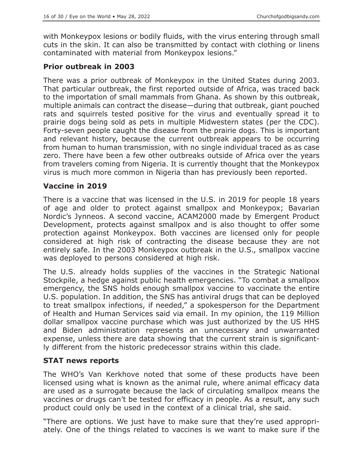with Monkeypox lesions or bodily fluids, with the virus entering through small cuts in the skin. It can also be transmitted by contact with clothing or linens contaminated with material from Monkeypox lesions."

#### **Prior outbreak in 2003**

There was a prior outbreak of Monkeypox in the United States during 2003. That particular outbreak, the first reported outside of Africa, was traced back to the importation of small mammals from Ghana. As shown by this outbreak, multiple animals can contract the disease—during that outbreak, giant pouched rats and squirrels tested positive for the virus and eventually spread it to prairie dogs being sold as pets in multiple Midwestern states (per the CDC). Forty-seven people caught the disease from the prairie dogs. This is important and relevant history, because the current outbreak appears to be occurring from human to human transmission, with no single individual traced as as case zero. There have been a few other outbreaks outside of Africa over the years from travelers coming from Nigeria. It is currently thought that the Monkeypox virus is much more common in Nigeria than has previously been reported.

#### **Vaccine in 2019**

There is a vaccine that was licensed in the U.S. in 2019 for people 18 years of age and older to protect against smallpox and Monkeypox; Bavarian Nordic's Jynneos. A second vaccine, ACAM2000 made by Emergent Product Development, protects against smallpox and is also thought to offer some protection against Monkeypox. Both vaccines are licensed only for people considered at high risk of contracting the disease because they are not entirely safe. In the 2003 Monkeypox outbreak in the U.S., smallpox vaccine was deployed to persons considered at high risk.

The U.S. already holds supplies of the vaccines in the Strategic National Stockpile, a hedge against public health emergencies. "To combat a smallpox emergency, the SNS holds enough smallpox vaccine to vaccinate the entire U.S. population. In addition, the SNS has antiviral drugs that can be deployed to treat smallpox infections, if needed," a spokesperson for the Department of Health and Human Services said via email. In my opinion, the 119 Million dollar smallpox vaccine purchase which was just authorized by the US HHS and Biden administration represents an unnecessary and unwarranted expense, unless there are data showing that the current strain is significantly different from the historic predecessor strains within this clade.

## **STAT news reports**

The WHO's Van Kerkhove noted that some of these products have been licensed using what is known as the animal rule, where animal efficacy data are used as a surrogate because the lack of circulating smallpox means the vaccines or drugs can't be tested for efficacy in people. As a result, any such product could only be used in the context of a clinical trial, she said.

"There are options. We just have to make sure that they're used appropriately. One of the things related to vaccines is we want to make sure if the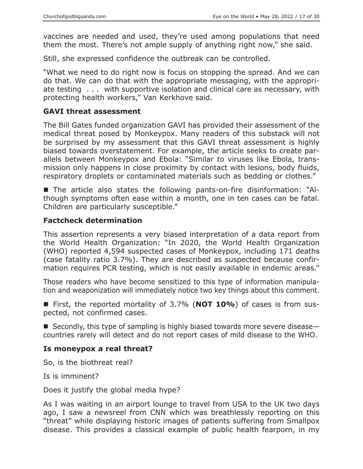vaccines are needed and used, they're used among populations that need them the most. There's not ample supply of anything right now," she said.

Still, she expressed confidence the outbreak can be controlled.

"What we need to do right now is focus on stopping the spread. And we can do that. We can do that with the appropriate messaging, with the appropriate testing . . . with supportive isolation and clinical care as necessary, with protecting health workers," Van Kerkhove said.

#### **GAVI threat assessment**

The Bill Gates funded organization GAVI has provided their assessment of the medical threat posed by Monkeypox. Many readers of this substack will not be surprised by my assessment that this GAVI threat assessment is highly biased towards overstatement. For example, the article seeks to create parallels between Monkeypox and Ebola: "Similar to viruses like Ebola, transmission only happens in close proximity by contact with lesions, body fluids, respiratory droplets or contaminated materials such as bedding or clothes."

■ The article also states the following pants-on-fire disinformation: "Although symptoms often ease within a month, one in ten cases can be fatal. Children are particularly susceptible."

#### **Factcheck determination**

This assertion represents a very biased interpretation of a data report from the World Health Organization: "In 2020, the World Health Organization (WHO) reported 4,594 suspected cases of Monkeypox, including 171 deaths (case fatality ratio 3.7%). They are described as suspected because confirmation requires PCR testing, which is not easily available in endemic areas."

Those readers who have become sensitized to this type of information manipulation and weaponization will immediately notice two key things about this comment.

■ First, the reported mortality of 3.7% (**NOT 10%**) of cases is from suspected, not confirmed cases.

Secondly, this type of sampling is highly biased towards more severe disease countries rarely will detect and do not report cases of mild disease to the WHO.

#### **Is moneypox a real threat?**

So, is the biothreat real?

Is is imminent?

Does it justify the global media hype?

As I was waiting in an airport lounge to travel from USA to the UK two days ago, I saw a newsreel from CNN which was breathlessly reporting on this "threat" while displaying historic images of patients suffering from Smallpox disease. This provides a classical example of public health fearporn, in my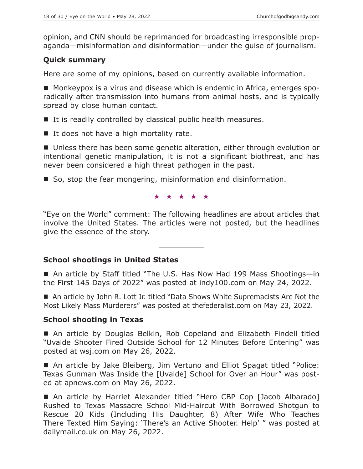opinion, and CNN should be reprimanded for broadcasting irresponsible propaganda—misinformation and disinformation—under the guise of journalism.

# **Quick summary**

Here are some of my opinions, based on currently available information.

■ Monkeypox is a virus and disease which is endemic in Africa, emerges sporadically after transmission into humans from animal hosts, and is typically spread by close human contact.

- If is readily controlled by classical public health measures.
- If does not have a high mortality rate.

■ Unless there has been some genetic alteration, either through evolution or intentional genetic manipulation, it is not a significant biothreat, and has never been considered a high threat pathogen in the past.

■ So, stop the fear mongering, misinformation and disinformation.

★★★★★

"Eye on the World" comment: The following headlines are about articles that involve the United States. The articles were not posted, but the headlines give the essence of the story.

 $\overline{\phantom{a}}$  , where  $\overline{\phantom{a}}$ 

## **School shootings in United States**

■ An article by Staff titled "The U.S. Has Now Had 199 Mass Shootings-in the First 145 Days of 2022" was posted at indy100.com on May 24, 2022.

■ An article by John R. Lott Jr. titled "Data Shows White Supremacists Are Not the Most Likely Mass Murderers" was posted at thefederalist.com on May 23, 2022.

## **School shooting in Texas**

■ An article by Douglas Belkin, Rob Copeland and Elizabeth Findell titled "Uvalde Shooter Fired Outside School for 12 Minutes Before Entering" was posted at wsj.com on May 26, 2022.

 An article by Jake Bleiberg, Jim Vertuno and Elliot Spagat titled "Police: Texas Gunman Was Inside the [Uvalde] School for Over an Hour" was posted at apnews.com on May 26, 2022.

■ An article by Harriet Alexander titled "Hero CBP Cop [Jacob Albarado] Rushed to Texas Massacre School Mid-Haircut With Borrowed Shotgun to Rescue 20 Kids (Including His Daughter, 8) After Wife Who Teaches There Texted Him Saying: 'There's an Active Shooter. Help' " was posted at dailymail.co.uk on May 26, 2022.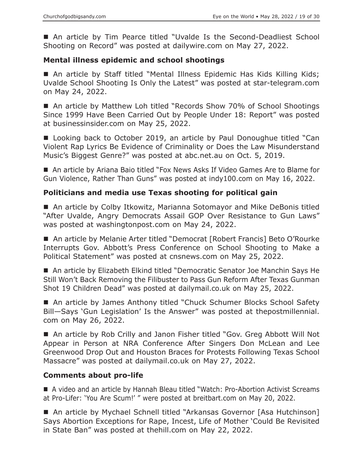■ An article by Tim Pearce titled "Uvalde Is the Second-Deadliest School Shooting on Record" was posted at dailywire.com on May 27, 2022.

#### **Mental illness epidemic and school shootings**

■ An article by Staff titled "Mental Illness Epidemic Has Kids Killing Kids; Uvalde School Shooting Is Only the Latest" was posted at star-telegram.com on May 24, 2022.

■ An article by Matthew Loh titled "Records Show 70% of School Shootings Since 1999 Have Been Carried Out by People Under 18: Report" was posted at businessinsider.com on May 25, 2022.

■ Looking back to October 2019, an article by Paul Donoughue titled "Can Violent Rap Lyrics Be Evidence of Criminality or Does the Law Misunderstand Music's Biggest Genre?" was posted at abc.net.au on Oct. 5, 2019.

■ An article by Ariana Baio titled "Fox News Asks If Video Games Are to Blame for Gun Violence, Rather Than Guns" was posted at indy100.com on May 16, 2022.

## **Politicians and media use Texas shooting for political gain**

 An article by Colby Itkowitz, Marianna Sotomayor and Mike DeBonis titled "After Uvalde, Angry Democrats Assail GOP Over Resistance to Gun Laws" was posted at washingtonpost.com on May 24, 2022.

■ An article by Melanie Arter titled "Democrat [Robert Francis] Beto O'Rourke Interrupts Gov. Abbott's Press Conference on School Shooting to Make a Political Statement" was posted at cnsnews.com on May 25, 2022.

■ An article by Elizabeth Elkind titled "Democratic Senator Joe Manchin Says He Still Won't Back Removing the Filibuster to Pass Gun Reform After Texas Gunman Shot 19 Children Dead" was posted at dailymail.co.uk on May 25, 2022.

■ An article by James Anthony titled "Chuck Schumer Blocks School Safety Bill—Says 'Gun Legislation' Is the Answer" was posted at thepostmillennial. com on May 26, 2022.

■ An article by Rob Crilly and Janon Fisher titled "Gov. Greg Abbott Will Not Appear in Person at NRA Conference After Singers Don McLean and Lee Greenwood Drop Out and Houston Braces for Protests Following Texas School Massacre" was posted at dailymail.co.uk on May 27, 2022.

## **Comments about pro-life**

■ A video and an article by Hannah Bleau titled "Watch: Pro-Abortion Activist Screams at Pro-Lifer: 'You Are Scum!' " were posted at breitbart.com on May 20, 2022.

■ An article by Mychael Schnell titled "Arkansas Governor [Asa Hutchinson] Says Abortion Exceptions for Rape, Incest, Life of Mother 'Could Be Revisited in State Ban" was posted at thehill.com on May 22, 2022.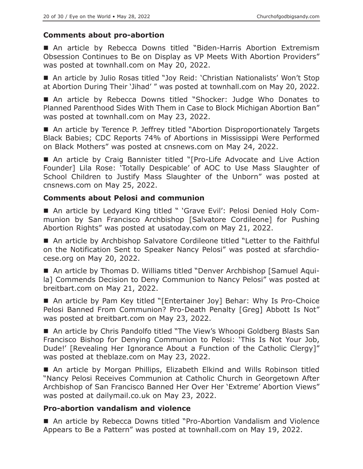# **Comments about pro-abortion**

 An article by Rebecca Downs titled "Biden-Harris Abortion Extremism Obsession Continues to Be on Display as VP Meets With Abortion Providers" was posted at townhall.com on May 20, 2022.

■ An article by Julio Rosas titled "Joy Reid: 'Christian Nationalists' Won't Stop at Abortion During Their 'Jihad' " was posted at townhall.com on May 20, 2022.

 An article by Rebecca Downs titled "Shocker: Judge Who Donates to Planned Parenthood Sides With Them in Case to Block Michigan Abortion Ban" was posted at townhall.com on May 23, 2022.

■ An article by Terence P. Jeffrey titled "Abortion Disproportionately Targets Black Babies; CDC Reports 74% of Abortions in Mississippi Were Performed on Black Mothers" was posted at cnsnews.com on May 24, 2022.

■ An article by Craig Bannister titled "[Pro-Life Advocate and Live Action Founder] Lila Rose: 'Totally Despicable' of AOC to Use Mass Slaughter of School Children to Justify Mass Slaughter of the Unborn" was posted at cnsnews.com on May 25, 2022.

# **Comments about Pelosi and communion**

 An article by Ledyard King titled " 'Grave Evil': Pelosi Denied Holy Communion by San Francisco Archbishop [Salvatore Cordileone] for Pushing Abortion Rights" was posted at usatoday.com on May 21, 2022.

■ An article by Archbishop Salvatore Cordileone titled "Letter to the Faithful on the Notification Sent to Speaker Nancy Pelosi" was posted at sfarchdiocese.org on May 20, 2022.

■ An article by Thomas D. Williams titled "Denver Archbishop [Samuel Aquila] Commends Decision to Deny Communion to Nancy Pelosi" was posted at breitbart.com on May 21, 2022.

■ An article by Pam Key titled "[Entertainer Joy] Behar: Why Is Pro-Choice Pelosi Banned From Communion? Pro-Death Penalty [Greg] Abbott Is Not" was posted at breitbart.com on May 23, 2022.

■ An article by Chris Pandolfo titled "The View's Whoopi Goldberg Blasts San Francisco Bishop for Denying Communion to Pelosi: 'This Is Not Your Job, Dude!' [Revealing Her Ignorance About a Function of the Catholic Clergy]" was posted at theblaze.com on May 23, 2022.

■ An article by Morgan Phillips, Elizabeth Elkind and Wills Robinson titled "Nancy Pelosi Receives Communion at Catholic Church in Georgetown After Archbishop of San Francisco Banned Her Over Her 'Extreme' Abortion Views" was posted at dailymail.co.uk on May 23, 2022.

# **Pro-abortion vandalism and violence**

■ An article by Rebecca Downs titled "Pro-Abortion Vandalism and Violence Appears to Be a Pattern" was posted at townhall.com on May 19, 2022.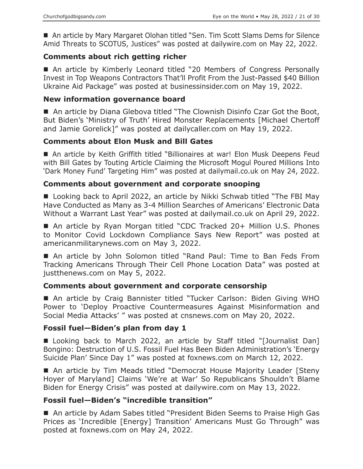■ An article by Mary Margaret Olohan titled "Sen. Tim Scott Slams Dems for Silence Amid Threats to SCOTUS, Justices" was posted at dailywire.com on May 22, 2022.

## **Comments about rich getting richer**

■ An article by Kimberly Leonard titled "20 Members of Congress Personally Invest in Top Weapons Contractors That'll Profit From the Just-Passed \$40 Billion Ukraine Aid Package" was posted at businessinsider.com on May 19, 2022.

#### **New information governance board**

■ An article by Diana Glebova titled "The Clownish Disinfo Czar Got the Boot, But Biden's 'Ministry of Truth' Hired Monster Replacements [Michael Chertoff and Jamie Gorelick]" was posted at dailycaller.com on May 19, 2022.

# **Comments about Elon Musk and Bill Gates**

■ An article by Keith Griffith titled "Billionaires at war! Elon Musk Deepens Feud with Bill Gates by Touting Article Claiming the Microsoft Mogul Poured Millions Into 'Dark Money Fund' Targeting Him" was posted at dailymail.co.uk on May 24, 2022.

## **Comments about government and corporate snooping**

■ Looking back to April 2022, an article by Nikki Schwab titled "The FBI May Have Conducted as Many as 3-4 Million Searches of Americans' Electronic Data Without a Warrant Last Year" was posted at dailymail.co.uk on April 29, 2022.

■ An article by Ryan Morgan titled "CDC Tracked 20+ Million U.S. Phones to Monitor Covid Lockdown Compliance Says New Report" was posted at americanmilitarynews.com on May 3, 2022.

■ An article by John Solomon titled "Rand Paul: Time to Ban Feds From Tracking Americans Through Their Cell Phone Location Data" was posted at justthenews.com on May 5, 2022.

## **Comments about government and corporate censorship**

 An article by Craig Bannister titled "Tucker Carlson: Biden Giving WHO Power to 'Deploy Proactive Countermeasures Against Misinformation and Social Media Attacks' " was posted at cnsnews.com on May 20, 2022.

## **Fossil fuel—Biden's plan from day 1**

■ Looking back to March 2022, an article by Staff titled "[Journalist Dan] Bongino: Destruction of U.S. Fossil Fuel Has Been Biden Administration's 'Energy Suicide Plan' Since Day 1" was posted at foxnews.com on March 12, 2022.

■ An article by Tim Meads titled "Democrat House Majority Leader [Steny Hoyer of Maryland] Claims 'We're at War' So Republicans Shouldn't Blame Biden for Energy Crisis" was posted at dailywire.com on May 13, 2022.

## **Fossil fuel—Biden's "incredible transition"**

■ An article by Adam Sabes titled "President Biden Seems to Praise High Gas Prices as 'Incredible [Energy] Transition' Americans Must Go Through" was posted at foxnews.com on May 24, 2022.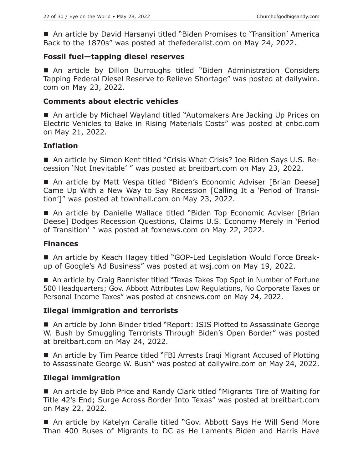■ An article by David Harsanyi titled "Biden Promises to 'Transition' America Back to the 1870s" was posted at thefederalist.com on May 24, 2022.

## **Fossil fuel—tapping diesel reserves**

 An article by Dillon Burroughs titled "Biden Administration Considers Tapping Federal Diesel Reserve to Relieve Shortage" was posted at dailywire. com on May 23, 2022.

#### **Comments about electric vehicles**

■ An article by Michael Wayland titled "Automakers Are Jacking Up Prices on Electric Vehicles to Bake in Rising Materials Costs" was posted at cnbc.com on May 21, 2022.

## **Inflation**

■ An article by Simon Kent titled "Crisis What Crisis? Joe Biden Says U.S. Recession 'Not Inevitable' " was posted at breitbart.com on May 23, 2022.

■ An article by Matt Vespa titled "Biden's Economic Adviser [Brian Deese] Came Up With a New Way to Say Recession [Calling It a 'Period of Transition']" was posted at townhall.com on May 23, 2022.

■ An article by Danielle Wallace titled "Biden Top Economic Adviser [Brian] Deese] Dodges Recession Questions, Claims U.S. Economy Merely in 'Period of Transition' " was posted at foxnews.com on May 22, 2022.

## **Finances**

■ An article by Keach Hagey titled "GOP-Led Legislation Would Force Breakup of Google's Ad Business" was posted at wsj.com on May 19, 2022.

■ An article by Craig Bannister titled "Texas Takes Top Spot in Number of Fortune 500 Headquarters; Gov. Abbott Attributes Low Regulations, No Corporate Taxes or Personal Income Taxes" was posted at cnsnews.com on May 24, 2022.

## **Illegal immigration and terrorists**

■ An article by John Binder titled "Report: ISIS Plotted to Assassinate George W. Bush by Smuggling Terrorists Through Biden's Open Border" was posted at breitbart.com on May 24, 2022.

■ An article by Tim Pearce titled "FBI Arrests Iragi Migrant Accused of Plotting to Assassinate George W. Bush" was posted at dailywire.com on May 24, 2022.

## **Illegal immigration**

■ An article by Bob Price and Randy Clark titled "Migrants Tire of Waiting for Title 42's End; Surge Across Border Into Texas" was posted at breitbart.com on May 22, 2022.

■ An article by Katelyn Caralle titled "Gov. Abbott Says He Will Send More Than 400 Buses of Migrants to DC as He Laments Biden and Harris Have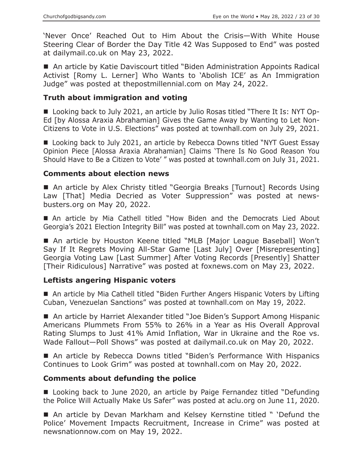'Never Once' Reached Out to Him About the Crisis—With White House Steering Clear of Border the Day Title 42 Was Supposed to End" was posted at dailymail.co.uk on May 23, 2022.

■ An article by Katie Daviscourt titled "Biden Administration Appoints Radical Activist [Romy L. Lerner] Who Wants to 'Abolish ICE' as An Immigration Judge" was posted at thepostmillennial.com on May 24, 2022.

#### **Truth about immigration and voting**

■ Looking back to July 2021, an article by Julio Rosas titled "There It Is: NYT Op-Ed [by Alossa Araxia Abrahamian] Gives the Game Away by Wanting to Let Non-Citizens to Vote in U.S. Elections" was posted at townhall.com on July 29, 2021.

■ Looking back to July 2021, an article by Rebecca Downs titled "NYT Guest Essay Opinion Piece [Alossa Araxia Abrahamian] Claims 'There Is No Good Reason You Should Have to Be a Citizen to Vote' " was posted at townhall.com on July 31, 2021.

#### **Comments about election news**

■ An article by Alex Christy titled "Georgia Breaks [Turnout] Records Using Law [That] Media Decried as Voter Suppression" was posted at newsbusters.org on May 20, 2022.

 An article by Mia Cathell titled "How Biden and the Democrats Lied About Georgia's 2021 Election Integrity Bill" was posted at townhall.com on May 23, 2022.

■ An article by Houston Keene titled "MLB [Major League Baseball] Won't Say If It Regrets Moving All-Star Game [Last July] Over [Misrepresenting] Georgia Voting Law [Last Summer] After Voting Records [Presently] Shatter [Their Ridiculous] Narrative" was posted at foxnews.com on May 23, 2022.

#### **Leftists angering Hispanic voters**

■ An article by Mia Cathell titled "Biden Further Angers Hispanic Voters by Lifting Cuban, Venezuelan Sanctions" was posted at townhall.com on May 19, 2022.

■ An article by Harriet Alexander titled "Joe Biden's Support Among Hispanic Americans Plummets From 55% to 26% in a Year as His Overall Approval Rating Slumps to Just 41% Amid Inflation, War in Ukraine and the Roe vs. Wade Fallout—Poll Shows" was posted at dailymail.co.uk on May 20, 2022.

■ An article by Rebecca Downs titled "Biden's Performance With Hispanics Continues to Look Grim" was posted at townhall.com on May 20, 2022.

## **Comments about defunding the police**

■ Looking back to June 2020, an article by Paige Fernandez titled "Defunding the Police Will Actually Make Us Safer" was posted at aclu.org on June 11, 2020.

■ An article by Devan Markham and Kelsey Kernstine titled " 'Defund the Police' Movement Impacts Recruitment, Increase in Crime" was posted at newsnationnow.com on May 19, 2022.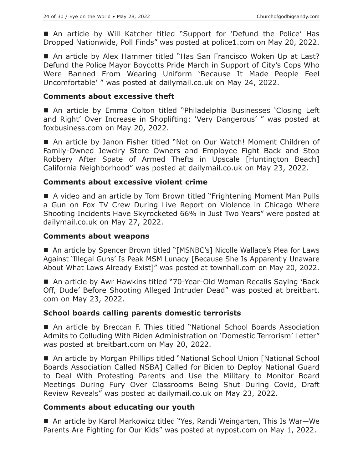■ An article by Will Katcher titled "Support for 'Defund the Police' Has Dropped Nationwide, Poll Finds" was posted at police1.com on May 20, 2022.

■ An article by Alex Hammer titled "Has San Francisco Woken Up at Last? Defund the Police Mayor Boycotts Pride March in Support of City's Cops Who Were Banned From Wearing Uniform 'Because It Made People Feel Uncomfortable' " was posted at dailymail.co.uk on May 24, 2022.

#### **Comments about excessive theft**

■ An article by Emma Colton titled "Philadelphia Businesses 'Closing Left and Right' Over Increase in Shoplifting: 'Very Dangerous' " was posted at foxbusiness.com on May 20, 2022.

■ An article by Janon Fisher titled "Not on Our Watch! Moment Children of Family-Owned Jewelry Store Owners and Employee Fight Back and Stop Robbery After Spate of Armed Thefts in Upscale [Huntington Beach] California Neighborhood" was posted at dailymail.co.uk on May 23, 2022.

#### **Comments about excessive violent crime**

■ A video and an article by Tom Brown titled "Frightening Moment Man Pulls a Gun on Fox TV Crew During Live Report on Violence in Chicago Where Shooting Incidents Have Skyrocketed 66% in Just Two Years" were posted at dailymail.co.uk on May 27, 2022.

#### **Comments about weapons**

■ An article by Spencer Brown titled "[MSNBC's] Nicolle Wallace's Plea for Laws Against 'Illegal Guns' Is Peak MSM Lunacy [Because She Is Apparently Unaware About What Laws Already Exist]" was posted at townhall.com on May 20, 2022.

■ An article by Awr Hawkins titled "70-Year-Old Woman Recalls Saying 'Back Off, Dude' Before Shooting Alleged Intruder Dead" was posted at breitbart. com on May 23, 2022.

#### **School boards calling parents domestic terrorists**

■ An article by Breccan F. Thies titled "National School Boards Association Admits to Colluding With Biden Administration on 'Domestic Terrorism' Letter" was posted at breitbart.com on May 20, 2022.

■ An article by Morgan Phillips titled "National School Union [National School Boards Association Called NSBA] Called for Biden to Deploy National Guard to Deal With Protesting Parents and Use the Military to Monitor Board Meetings During Fury Over Classrooms Being Shut During Covid, Draft Review Reveals" was posted at dailymail.co.uk on May 23, 2022.

## **Comments about educating our youth**

■ An article by Karol Markowicz titled "Yes, Randi Weingarten, This Is War-We Parents Are Fighting for Our Kids" was posted at nypost.com on May 1, 2022.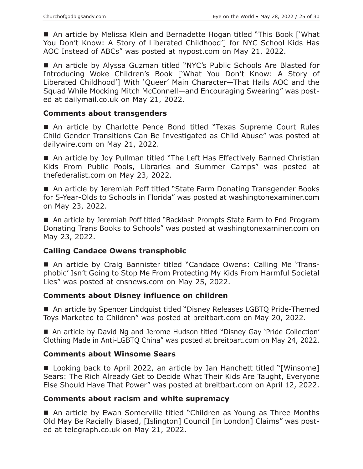■ An article by Melissa Klein and Bernadette Hogan titled "This Book ['What You Don't Know: A Story of Liberated Childhood'] for NYC School Kids Has AOC Instead of ABCs" was posted at nypost.com on May 21, 2022.

■ An article by Alyssa Guzman titled "NYC's Public Schools Are Blasted for Introducing Woke Children's Book ['What You Don't Know: A Story of Liberated Childhood'] With 'Queer' Main Character—That Hails AOC and the Squad While Mocking Mitch McConnell—and Encouraging Swearing" was posted at dailymail.co.uk on May 21, 2022.

## **Comments about transgenders**

■ An article by Charlotte Pence Bond titled "Texas Supreme Court Rules Child Gender Transitions Can Be Investigated as Child Abuse" was posted at dailywire.com on May 21, 2022.

■ An article by Joy Pullman titled "The Left Has Effectively Banned Christian Kids From Public Pools, Libraries and Summer Camps" was posted at thefederalist.com on May 23, 2022.

■ An article by Jeremiah Poff titled "State Farm Donating Transgender Books for 5-Year-Olds to Schools in Florida" was posted at washingtonexaminer.com on May 23, 2022.

■ An article by Jeremiah Poff titled "Backlash Prompts State Farm to End Program Donating Trans Books to Schools" was posted at washingtonexaminer.com on May 23, 2022.

# **Calling Candace Owens transphobic**

 An article by Craig Bannister titled "Candace Owens: Calling Me 'Transphobic' Isn't Going to Stop Me From Protecting My Kids From Harmful Societal Lies" was posted at cnsnews.com on May 25, 2022.

## **Comments about Disney influence on children**

■ An article by Spencer Lindquist titled "Disney Releases LGBTQ Pride-Themed Toys Marketed to Children" was posted at breitbart.com on May 20, 2022.

■ An article by David Ng and Jerome Hudson titled "Disney Gay 'Pride Collection' Clothing Made in Anti-LGBTQ China" was posted at breitbart.com on May 24, 2022.

## **Comments about Winsome Sears**

■ Looking back to April 2022, an article by Ian Hanchett titled "[Winsome] Sears: The Rich Already Get to Decide What Their Kids Are Taught, Everyone Else Should Have That Power" was posted at breitbart.com on April 12, 2022.

## **Comments about racism and white supremacy**

■ An article by Ewan Somerville titled "Children as Young as Three Months Old May Be Racially Biased, [Islington] Council [in London] Claims" was posted at telegraph.co.uk on May 21, 2022.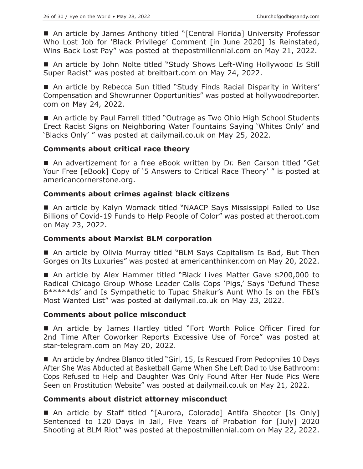■ An article by James Anthony titled "[Central Florida] University Professor Who Lost Job for 'Black Privilege' Comment [in June 2020] Is Reinstated, Wins Back Lost Pay" was posted at thepostmillennial.com on May 21, 2022.

■ An article by John Nolte titled "Study Shows Left-Wing Hollywood Is Still Super Racist" was posted at breitbart.com on May 24, 2022.

■ An article by Rebecca Sun titled "Study Finds Racial Disparity in Writers' Compensation and Showrunner Opportunities" was posted at hollywoodreporter. com on May 24, 2022.

■ An article by Paul Farrell titled "Outrage as Two Ohio High School Students Erect Racist Signs on Neighboring Water Fountains Saying 'Whites Only' and 'Blacks Only' " was posted at dailymail.co.uk on May 25, 2022.

## **Comments about critical race theory**

■ An advertizement for a free eBook written by Dr. Ben Carson titled "Get Your Free [eBook] Copy of '5 Answers to Critical Race Theory' " is posted at americancornerstone.org.

## **Comments about crimes against black citizens**

■ An article by Kalyn Womack titled "NAACP Says Mississippi Failed to Use Billions of Covid-19 Funds to Help People of Color" was posted at theroot.com on May 23, 2022.

## **Comments about Marxist BLM corporation**

■ An article by Olivia Murray titled "BLM Says Capitalism Is Bad, But Then Gorges on Its Luxuries" was posted at americanthinker.com on May 20, 2022.

■ An article by Alex Hammer titled "Black Lives Matter Gave \$200,000 to Radical Chicago Group Whose Leader Calls Cops 'Pigs,' Says 'Defund These B\*\*\*\*\*ds' and Is Sympathetic to Tupac Shakur's Aunt Who Is on the FBI's Most Wanted List" was posted at dailymail.co.uk on May 23, 2022.

## **Comments about police misconduct**

 An article by James Hartley titled "Fort Worth Police Officer Fired for 2nd Time After Coworker Reports Excessive Use of Force" was posted at star-telegram.com on May 20, 2022.

■ An article by Andrea Blanco titled "Girl, 15, Is Rescued From Pedophiles 10 Days After She Was Abducted at Basketball Game When She Left Dad to Use Bathroom: Cops Refused to Help and Daughter Was Only Found After Her Nude Pics Were Seen on Prostitution Website" was posted at dailymail.co.uk on May 21, 2022.

# **Comments about district attorney misconduct**

■ An article by Staff titled "[Aurora, Colorado] Antifa Shooter [Is Only] Sentenced to 120 Days in Jail, Five Years of Probation for [July] 2020 Shooting at BLM Riot" was posted at thepostmillennial.com on May 22, 2022.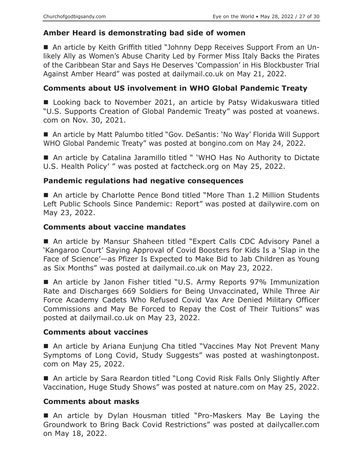# **Amber Heard is demonstrating bad side of women**

 An article by Keith Griffith titled "Johnny Depp Receives Support From an Unlikely Ally as Women's Abuse Charity Led by Former Miss Italy Backs the Pirates of the Caribbean Star and Says He Deserves 'Compassion' in His Blockbuster Trial Against Amber Heard" was posted at dailymail.co.uk on May 21, 2022.

# **Comments about US involvement in WHO Global Pandemic Treaty**

■ Looking back to November 2021, an article by Patsy Widakuswara titled "U.S. Supports Creation of Global Pandemic Treaty" was posted at voanews. com on Nov. 30, 2021.

■ An article by Matt Palumbo titled "Gov. DeSantis: 'No Way' Florida Will Support WHO Global Pandemic Treaty" was posted at bongino.com on May 24, 2022.

■ An article by Catalina Jaramillo titled " 'WHO Has No Authority to Dictate U.S. Health Policy' " was posted at factcheck.org on May 25, 2022.

## **Pandemic regulations had negative consequences**

■ An article by Charlotte Pence Bond titled "More Than 1.2 Million Students Left Public Schools Since Pandemic: Report" was posted at dailywire.com on May 23, 2022.

## **Comments about vaccine mandates**

 An article by Mansur Shaheen titled "Expert Calls CDC Advisory Panel a 'Kangaroo Court' Saying Approval of Covid Boosters for Kids Is a 'Slap in the Face of Science'—as Pfizer Is Expected to Make Bid to Jab Children as Young as Six Months" was posted at dailymail.co.uk on May 23, 2022.

■ An article by Janon Fisher titled "U.S. Army Reports 97% Immunization Rate and Discharges 669 Soldiers for Being Unvaccinated, While Three Air Force Academy Cadets Who Refused Covid Vax Are Denied Military Officer Commissions and May Be Forced to Repay the Cost of Their Tuitions" was posted at dailymail.co.uk on May 23, 2022.

## **Comments about vaccines**

■ An article by Ariana Eunjung Cha titled "Vaccines May Not Prevent Many Symptoms of Long Covid, Study Suggests" was posted at washingtonpost. com on May 25, 2022.

 An article by Sara Reardon titled "Long Covid Risk Falls Only Slightly After Vaccination, Huge Study Shows" was posted at nature.com on May 25, 2022.

# **Comments about masks**

 An article by Dylan Housman titled "Pro-Maskers May Be Laying the Groundwork to Bring Back Covid Restrictions" was posted at dailycaller.com on May 18, 2022.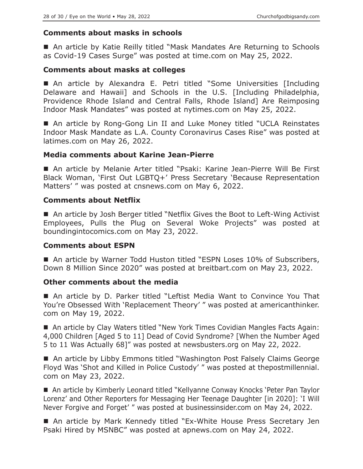## **Comments about masks in schools**

■ An article by Katie Reilly titled "Mask Mandates Are Returning to Schools as Covid-19 Cases Surge" was posted at time.com on May 25, 2022.

#### **Comments about masks at colleges**

 An article by Alexandra E. Petri titled "Some Universities [Including Delaware and Hawaii] and Schools in the U.S. [Including Philadelphia, Providence Rhode Island and Central Falls, Rhode Island] Are Reimposing Indoor Mask Mandates" was posted at nytimes.com on May 25, 2022.

■ An article by Rong-Gong Lin II and Luke Money titled "UCLA Reinstates Indoor Mask Mandate as L.A. County Coronavirus Cases Rise" was posted at latimes.com on May 26, 2022.

#### **Media comments about Karine Jean-Pierre**

 An article by Melanie Arter titled "Psaki: Karine Jean-Pierre Will Be First Black Woman, 'First Out LGBTQ+' Press Secretary 'Because Representation Matters' " was posted at cnsnews.com on May 6, 2022.

## **Comments about Netflix**

■ An article by Josh Berger titled "Netflix Gives the Boot to Left-Wing Activist Employees, Pulls the Plug on Several Woke Projects" was posted at boundingintocomics.com on May 23, 2022.

## **Comments about ESPN**

■ An article by Warner Todd Huston titled "ESPN Loses 10% of Subscribers, Down 8 Million Since 2020" was posted at breitbart.com on May 23, 2022.

#### **Other comments about the media**

■ An article by D. Parker titled "Leftist Media Want to Convince You That You're Obsessed With 'Replacement Theory' " was posted at americanthinker. com on May 19, 2022.

■ An article by Clay Waters titled "New York Times Covidian Mangles Facts Again: 4,000 Children [Aged 5 to 11] Dead of Covid Syndrome? [When the Number Aged 5 to 11 Was Actually 68]" was posted at newsbusters.org on May 22, 2022.

■ An article by Libby Emmons titled "Washington Post Falsely Claims George Floyd Was 'Shot and Killed in Police Custody' " was posted at thepostmillennial. com on May 23, 2022.

■ An article by Kimberly Leonard titled "Kellyanne Conway Knocks 'Peter Pan Taylor Lorenz' and Other Reporters for Messaging Her Teenage Daughter [in 2020]: 'I Will Never Forgive and Forget' " was posted at businessinsider.com on May 24, 2022.

 An article by Mark Kennedy titled "Ex-White House Press Secretary Jen Psaki Hired by MSNBC" was posted at apnews.com on May 24, 2022.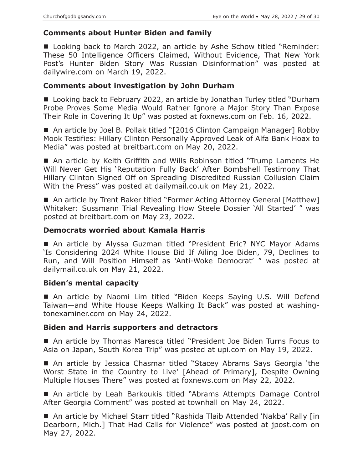# **Comments about Hunter Biden and family**

■ Looking back to March 2022, an article by Ashe Schow titled "Reminder: These 50 Intelligence Officers Claimed, Without Evidence, That New York Post's Hunter Biden Story Was Russian Disinformation" was posted at dailywire.com on March 19, 2022.

## **Comments about investigation by John Durham**

■ Looking back to February 2022, an article by Jonathan Turley titled "Durham Probe Proves Some Media Would Rather Ignore a Major Story Than Expose Their Role in Covering It Up" was posted at foxnews.com on Feb. 16, 2022.

■ An article by Joel B. Pollak titled "[2016 Clinton Campaign Manager] Robby Mook Testifies: Hillary Clinton Personally Approved Leak of Alfa Bank Hoax to Media" was posted at breitbart.com on May 20, 2022.

 An article by Keith Griffith and Wills Robinson titled "Trump Laments He Will Never Get His 'Reputation Fully Back' After Bombshell Testimony That Hillary Clinton Signed Off on Spreading Discredited Russian Collusion Claim With the Press" was posted at dailymail.co.uk on May 21, 2022.

■ An article by Trent Baker titled "Former Acting Attorney General [Matthew] Whitaker: Sussmann Trial Revealing How Steele Dossier 'All Started' " was posted at breitbart.com on May 23, 2022.

## **Democrats worried about Kamala Harris**

■ An article by Alyssa Guzman titled "President Eric? NYC Mayor Adams 'Is Considering 2024 White House Bid If Ailing Joe Biden, 79, Declines to Run, and Will Position Himself as 'Anti-Woke Democrat' " was posted at dailymail.co.uk on May 21, 2022.

# **Biden's mental capacity**

 An article by Naomi Lim titled "Biden Keeps Saying U.S. Will Defend Taiwan—and White House Keeps Walking It Back" was posted at washingtonexaminer.com on May 24, 2022.

## **Biden and Harris supporters and detractors**

 An article by Thomas Maresca titled "President Joe Biden Turns Focus to Asia on Japan, South Korea Trip" was posted at upi.com on May 19, 2022.

 An article by Jessica Chasmar titled "Stacey Abrams Says Georgia 'the Worst State in the Country to Live' [Ahead of Primary], Despite Owning Multiple Houses There" was posted at foxnews.com on May 22, 2022.

 An article by Leah Barkoukis titled "Abrams Attempts Damage Control After Georgia Comment" was posted at townhall on May 24, 2022.

 An article by Michael Starr titled "Rashida Tlaib Attended 'Nakba' Rally [in Dearborn, Mich.] That Had Calls for Violence" was posted at jpost.com on May 27, 2022.